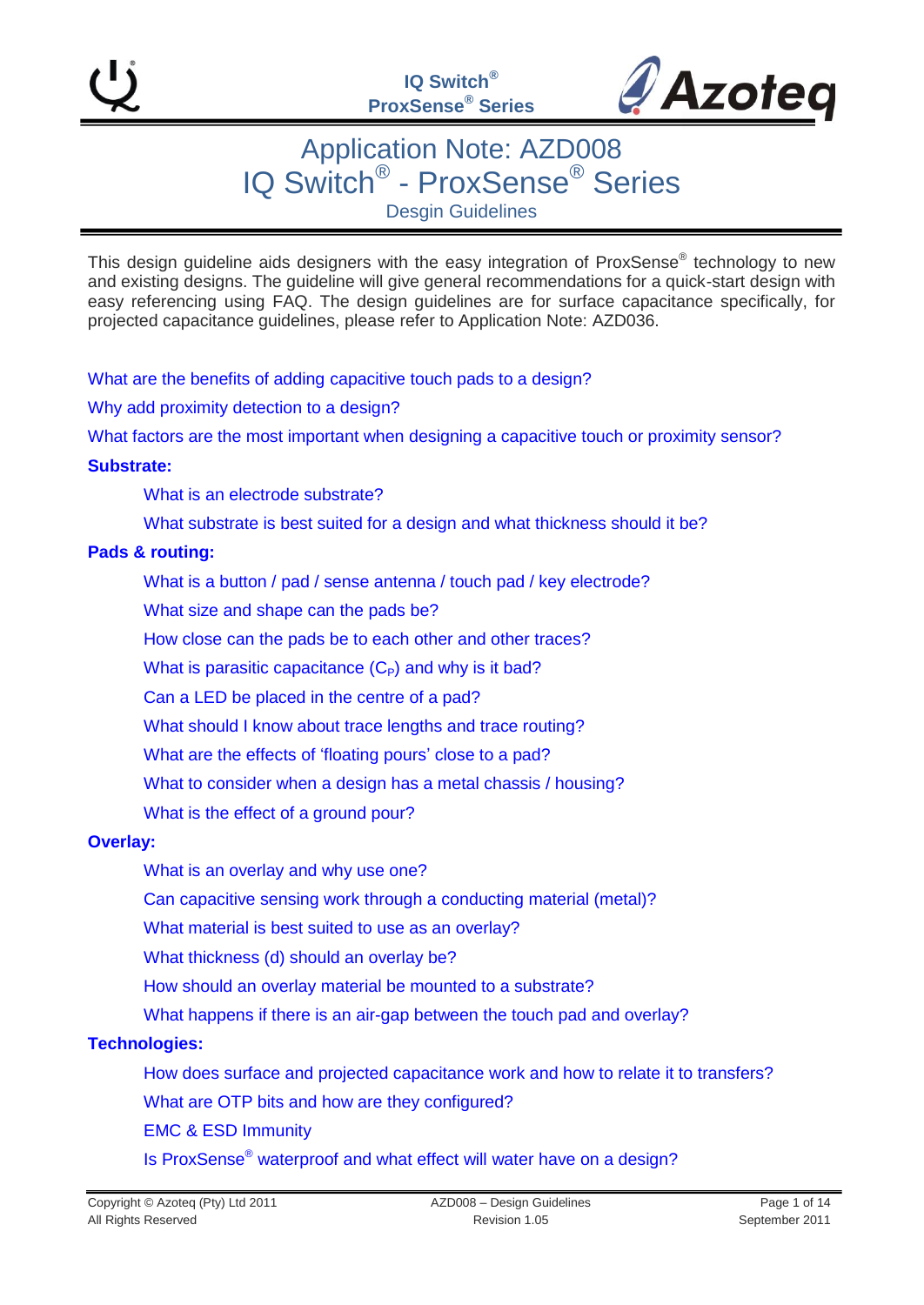

## Application Note: AZD008 IQ Switch® - ProxSense® Series Desgin Guidelines

This design guideline aids designers with the easy integration of ProxSense® technology to new and existing designs. The guideline will give general recommendations for a quick-start design with easy referencing using FAQ. The design guidelines are for surface capacitance specifically, for projected capacitance guidelines, please refer to Application Note: AZD036.

[What are the benefits of adding capacitive touch pads to a design?](#page-2-0)

[Why add proximity detection to a design?](#page-2-1)

[What factors are the most important when designing a capacitive touch or proximity sensor?](#page-2-2)

#### **[Substrate:](#page-2-3)**

[What is an electrode substrate?](#page-2-4)

What substrate is best suited for a design and what thickness should it be?

#### **Pads [& routing:](#page-4-0)**

[What is a button / pad / sense antenna / touch pad / key electrode?](#page-4-0)

[What size and shape can the pads be?](#page-4-1)

[How close can the pads be to each other](#page-4-2) and other traces?

What is parasitic capacitance  $(C_P)$  and why is it bad?

[Can a LED be placed in the centre of a pad?](#page-6-0)

[What should I know about trace lengths and trace routing?](#page-5-0)

What are the effects of 'floating pours' close to a pad?

[What to consider when a design has a metal chassis / housing?](#page-6-1)

[What is the effect of a ground pour?](#page-6-2)

#### **[Overlay:](#page-7-0)**

[What is an overlay and why use one?](#page-7-0)

[Can capacitive sensing work through a conducting material \(metal\)?](#page-8-0)

[What material is best suited to use as an overlay?](#page-8-1)

What thickness [\(d\) should an overlay be?](#page-8-2)

[How should an overlay material be mounted to a substrate?](#page-8-3)

What happens if there is an [air-gap between the touch pad and overlay?](#page-9-0)

#### **[Technologies:](#page-9-1)**

[How does surface and projected capacitance work and how to relate it to](#page-9-2) transfers?

What are [OTP bits and how are they configured?](#page-9-2)

[EMC & ESD Immunity](#page-10-0)

Is ProxSense® [waterproof and what effect will](#page-10-1) water have on a design?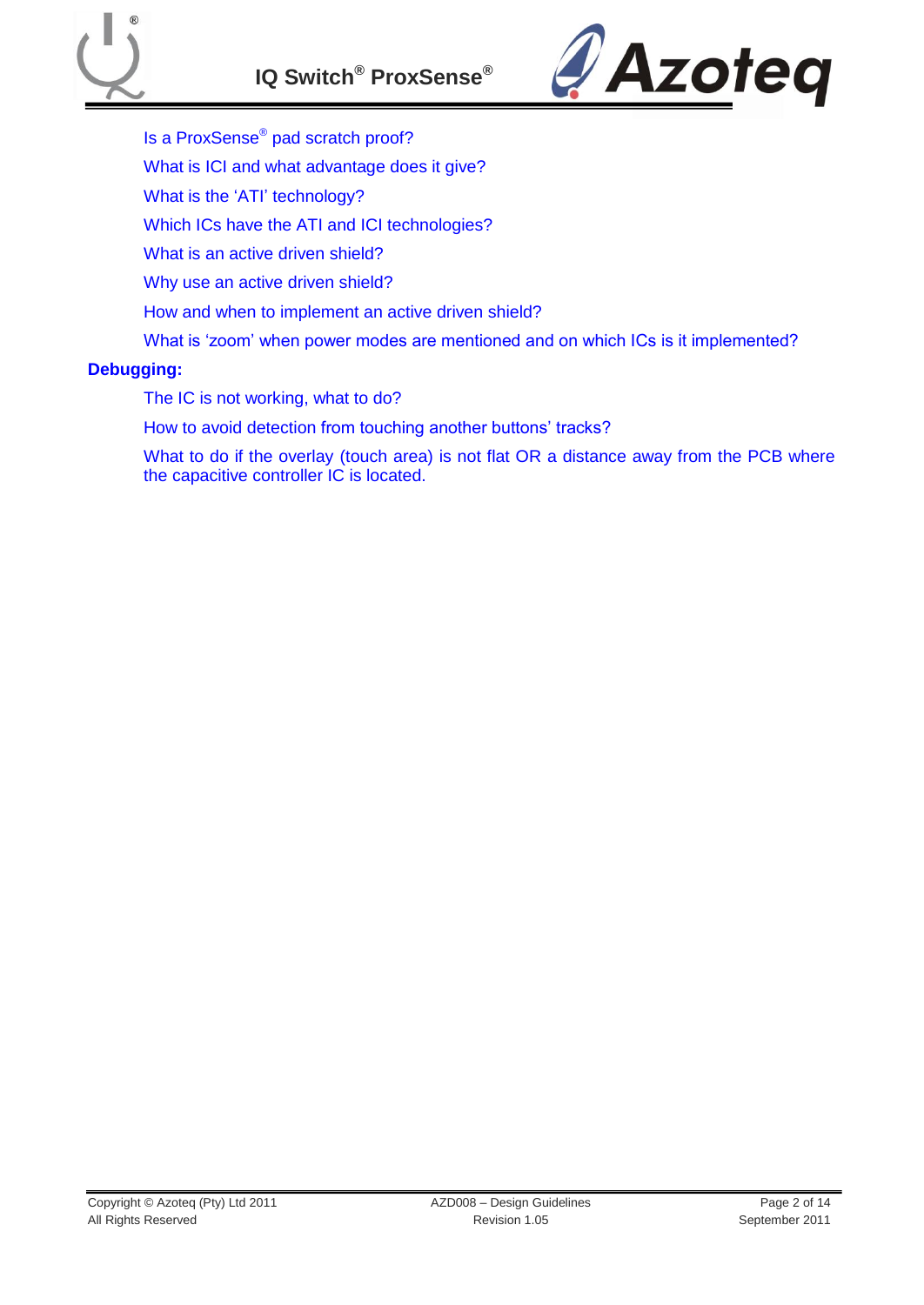

- [Is a ProxSense](#page-10-2)® pad scratch proof?
- [What is ICI and what advantage does it give?](#page-11-0)
- What is the 'ATI' technology?
- Which [ICs have the ATI and ICI technologies?](#page-11-2)
- [What is an active](#page-11-3) driven shield?
- [Why use an active driven shield?](#page-11-4)
- [How and when to implement an active](#page-11-5) driven shield?
- What is 'zoom' when power modes are mentioned and on which ICs is it implemented?

#### **[Debugging:](#page-12-0)**

- [The IC is not working, what to do?](#page-12-1)
- How to avoid detection from touching another buttons' tracks?
- What to do if the overlay (touch area) is not flat OR a distance away from the PCB where [the capacitive controller IC is located.](#page-12-3)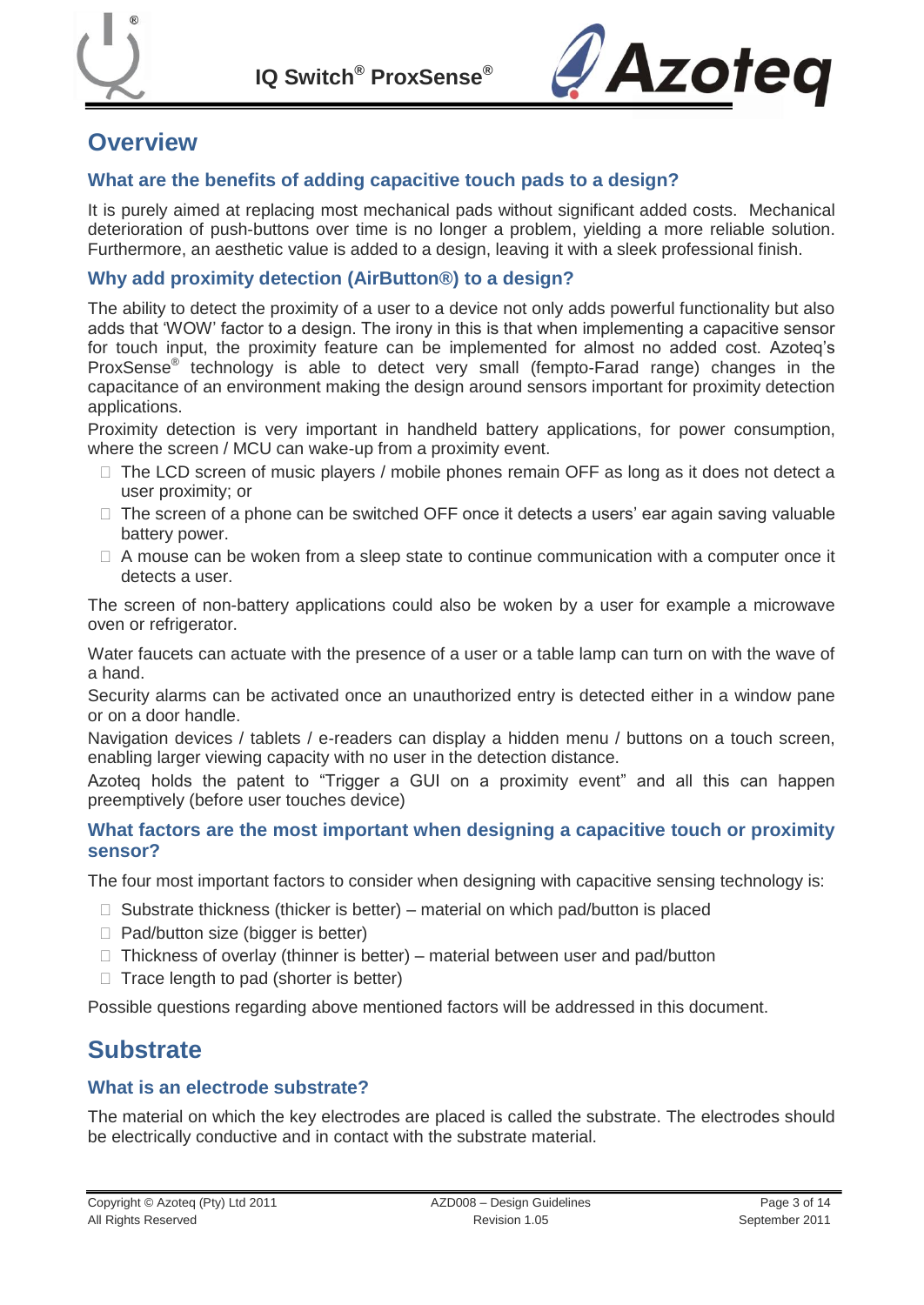

**IQ Switch® ProxSense®**



## **Overview**

#### <span id="page-2-0"></span>**What are the benefits of adding capacitive touch pads to a design?**

It is purely aimed at replacing most mechanical pads without significant added costs. Mechanical deterioration of push-buttons over time is no longer a problem, yielding a more reliable solution. Furthermore, an aesthetic value is added to a design, leaving it with a sleek professional finish.

#### <span id="page-2-1"></span>**Why add proximity detection (AirButton®) to a design?**

The ability to detect the proximity of a user to a device not only adds powerful functionality but also adds that "WOW" factor to a design. The irony in this is that when implementing a capacitive sensor for touch input, the proximity feature can be implemented for almost no added cost. Azoteq"s ProxSense<sup>®</sup> technology is able to detect very small (fempto-Farad range) changes in the capacitance of an environment making the design around sensors important for proximity detection applications.

Proximity detection is very important in handheld battery applications, for power consumption, where the screen / MCU can wake-up from a proximity event.

- $\Box$  The LCD screen of music players / mobile phones remain OFF as long as it does not detect a user proximity; or
- $\Box$  The screen of a phone can be switched OFF once it detects a users' ear again saving valuable battery power.
- $\Box$  A mouse can be woken from a sleep state to continue communication with a computer once it detects a user.

The screen of non-battery applications could also be woken by a user for example a microwave oven or refrigerator.

Water faucets can actuate with the presence of a user or a table lamp can turn on with the wave of a hand.

Security alarms can be activated once an unauthorized entry is detected either in a window pane or on a door handle.

Navigation devices / tablets / e-readers can display a hidden menu / buttons on a touch screen, enabling larger viewing capacity with no user in the detection distance.

Azoteq holds the patent to "Trigger a GUI on a proximity event" and all this can happen preemptively (before user touches device)

#### <span id="page-2-2"></span>**What factors are the most important when designing a capacitive touch or proximity sensor?**

The four most important factors to consider when designing with capacitive sensing technology is:

- $\Box$  Substrate thickness (thicker is better) material on which pad/button is placed
- $\Box$  Pad/button size (bigger is better)
- $\Box$  Thickness of overlay (thinner is better) material between user and pad/button
- $\Box$  Trace length to pad (shorter is better)

Possible questions regarding above mentioned factors will be addressed in this document.

## <span id="page-2-3"></span>**Substrate**

#### <span id="page-2-4"></span>**What is an electrode substrate?**

The material on which the key electrodes are placed is called the substrate. The electrodes should be electrically conductive and in contact with the substrate material.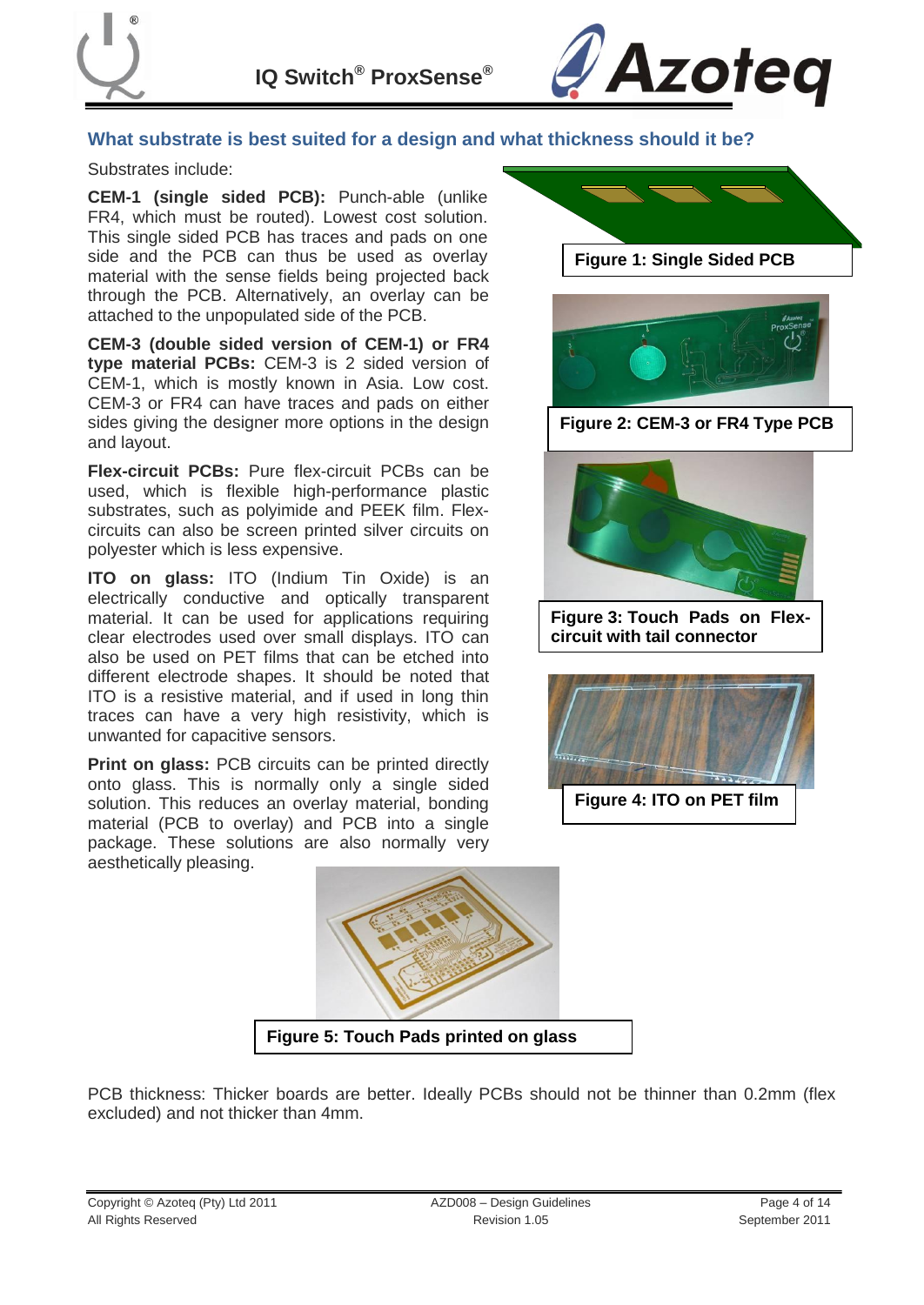

**IQ Switch® ProxSense®**



#### **What substrate is best suited for a design and what thickness should it be?**

#### Substrates include:

**CEM-1 (single sided PCB):** Punch-able (unlike FR4, which must be routed). Lowest cost solution. This single sided PCB has traces and pads on one side and the PCB can thus be used as overlay material with the sense fields being projected back through the PCB. Alternatively, an overlay can be attached to the unpopulated side of the PCB.

**CEM-3 (double sided version of CEM-1) or FR4 type material PCBs:** CEM-3 is 2 sided version of CEM-1, which is mostly known in Asia. Low cost. CEM-3 or FR4 can have traces and pads on either sides giving the designer more options in the design and layout.

**Flex-circuit PCBs:** Pure flex-circuit PCBs can be used, which is flexible high-performance plastic substrates, such as polyimide and PEEK film. Flexcircuits can also be screen printed silver circuits on polyester which is less expensive.

**ITO on glass:** ITO (Indium Tin Oxide) is an electrically conductive and optically transparent material. It can be used for applications requiring clear electrodes used over small displays. ITO can also be used on PET films that can be etched into different electrode shapes. It should be noted that ITO is a resistive material, and if used in long thin traces can have a very high resistivity, which is unwanted for capacitive sensors.

**Print on glass:** PCB circuits can be printed directly onto glass. This is normally only a single sided solution. This reduces an overlay material, bonding material (PCB to overlay) and PCB into a single package. These solutions are also normally very aesthetically pleasing.



**Figure 5: Touch Pads printed on glass**

PCB thickness: Thicker boards are better. Ideally PCBs should not be thinner than 0.2mm (flex excluded) and not thicker than 4mm.



**circuit with tail connector**

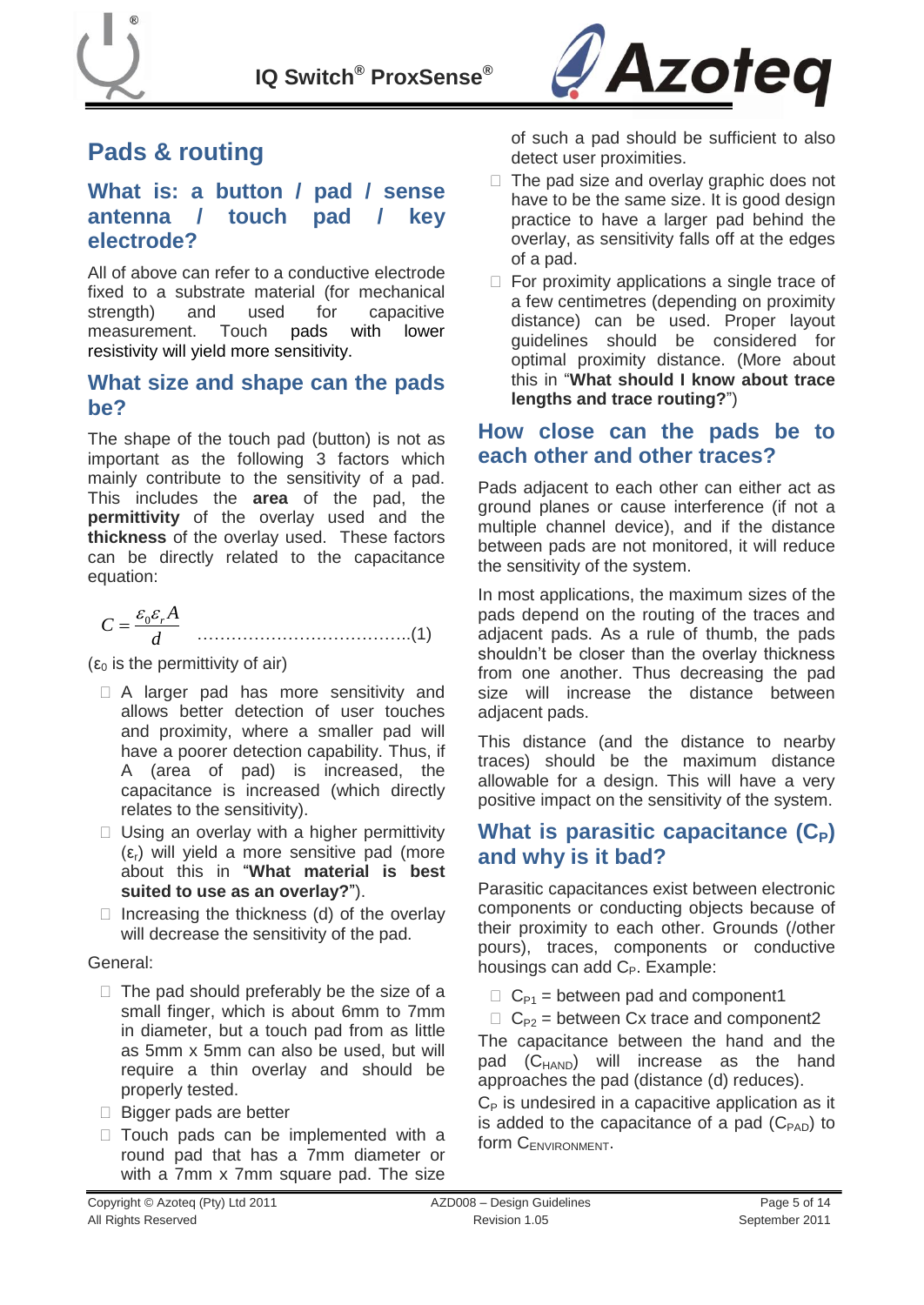



## <span id="page-4-0"></span>**Pads & routing**

#### **What is: a button / pad / sense antenna / touch pad / key electrode?**

All of above can refer to a conductive electrode fixed to a substrate material (for mechanical strength) and used for capacitive measurement. Touch pads with lower resistivity will yield more sensitivity.

#### <span id="page-4-1"></span>**What size and shape can the pads be?**

The shape of the touch pad (button) is not as important as the following 3 factors which mainly contribute to the sensitivity of a pad. This includes the **area** of the pad, the **permittivity** of the overlay used and the **thickness** of the overlay used. These factors can be directly related to the capacitance equation:

*d A C r* <sup>0</sup> ………………………………..(1)

( $\varepsilon_0$  is the permittivity of air)

- □ A larger pad has more sensitivity and allows better detection of user touches and proximity, where a smaller pad will have a poorer detection capability. Thus, if A (area of pad) is increased, the capacitance is increased (which directly relates to the sensitivity).
- $\Box$  Using an overlay with a higher permittivity  $(ε<sub>r</sub>)$  will yield a more sensitive pad (more about this in "**[What material is best](#page-8-1)  [suited to use as an overlay?](#page-8-1)**").
- $\Box$  Increasing the thickness (d) of the overlay will decrease the sensitivity of the pad.

#### General:

- $\Box$  The pad should preferably be the size of a small finger, which is about 6mm to 7mm in diameter, but a touch pad from as little as 5mm x 5mm can also be used, but will require a thin overlay and should be properly tested.
- $\Box$  Bigger pads are better
- $\Box$  Touch pads can be implemented with a round pad that has a 7mm diameter or with a 7mm x 7mm square pad. The size

of such a pad should be sufficient to also detect user proximities.

- $\Box$  The pad size and overlay graphic does not have to be the same size. It is good design practice to have a larger pad behind the overlay, as sensitivity falls off at the edges of a pad.
- $\Box$  For proximity applications a single trace of a few centimetres (depending on proximity distance) can be used. Proper layout guidelines should be considered for optimal proximity distance. (More about this in "**[What should I know about trace](#page-5-1)  [lengths and trace routing?](#page-5-1)**")

### <span id="page-4-2"></span>**How close can the pads be to each other and other traces?**

Pads adjacent to each other can either act as ground planes or cause interference (if not a multiple channel device), and if the distance between pads are not monitored, it will reduce the sensitivity of the system.

In most applications, the maximum sizes of the pads depend on the routing of the traces and adjacent pads. As a rule of thumb, the pads shouldn"t be closer than the overlay thickness from one another. Thus decreasing the pad size will increase the distance between adjacent pads.

This distance (and the distance to nearby traces) should be the maximum distance allowable for a design. This will have a very positive impact on the sensitivity of the system.

### **What is parasitic capacitance (C<sub>P</sub>) and why is it bad?**

Parasitic capacitances exist between electronic components or conducting objects because of their proximity to each other. Grounds (/other pours), traces, components or conductive housings can add  $C_P$ . Example:

 $C_{P1}$  = between pad and component1

 $C_{P2}$  = between Cx trace and component2

The capacitance between the hand and the pad  $(C_{HAND})$  will increase as the hand approaches the pad (distance (d) reduces).

 $C_P$  is undesired in a capacitive application as it is added to the capacitance of a pad  $(C_{PAD})$  to form CENVIRONMENT.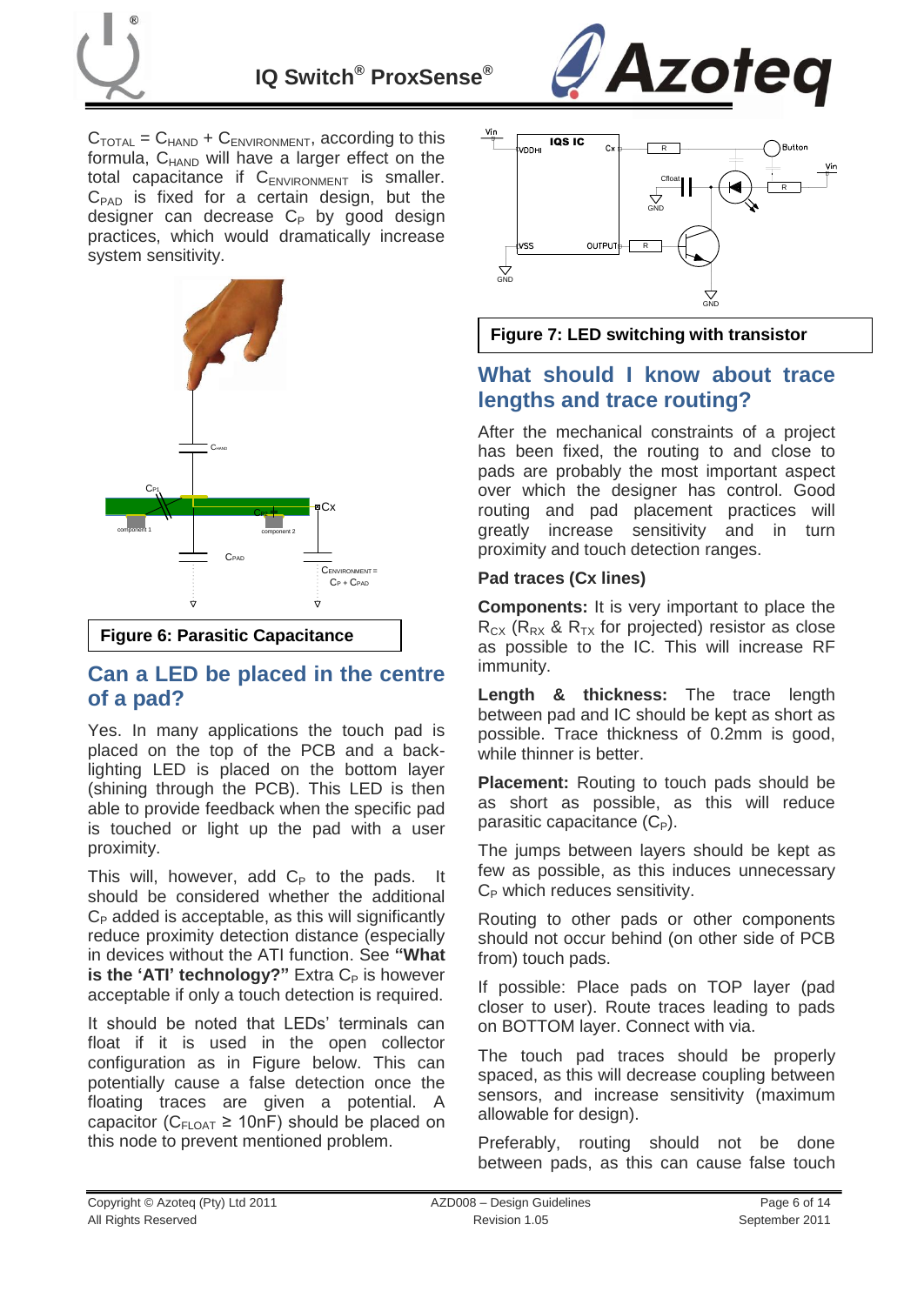



 $C_{\text{TOTAL}} = C_{\text{HAND}} + C_{\text{ENVIRONMENT}}$ , according to this formula,  $C_{HAND}$  will have a larger effect on the total capacitance if  $C_{ENVIRONMENT}$  is smaller.  $C_{PAD}$  is fixed for a certain design, but the designer can decrease  $C_P$  by good design practices, which would dramatically increase system sensitivity.



#### **Figure 6: Parasitic Capacitance**

### <span id="page-5-0"></span>**Can a LED be placed in the centre of a pad?**

Yes. In many applications the touch pad is placed on the top of the PCB and a backlighting LED is placed on the bottom layer (shining through the PCB). This LED is then able to provide feedback when the specific pad is touched or light up the pad with a user proximity.

This will, however, add  $C_P$  to the pads. It should be considered whether the additional  $C_{P}$  added is acceptable, as this will significantly reduce proximity detection distance (especially in devices without the ATI function. See **["What](#page-11-1)  is the 'ATI' [technology?"](#page-11-1)** Extra C<sub>P</sub> is however acceptable if only a touch detection is required.

It should be noted that LEDs' terminals can float if it is used in the open collector configuration as in Figure below. This can potentially cause a false detection once the floating traces are given a potential. A capacitor ( $C_{FLOAT} \geq 10nF$ ) should be placed on this node to prevent mentioned problem.





### <span id="page-5-1"></span>**What should I know about trace lengths and trace routing?**

After the mechanical constraints of a project has been fixed, the routing to and close to pads are probably the most important aspect over which the designer has control. Good routing and pad placement practices will greatly increase sensitivity and in turn proximity and touch detection ranges.

#### **Pad traces (Cx lines)**

**Components:** It is very important to place the  $R_{CX}$  ( $R_{RX}$  &  $R_{TX}$  for projected) resistor as close as possible to the IC. This will increase RF immunity.

**Length & thickness:** The trace length between pad and IC should be kept as short as possible. Trace thickness of 0.2mm is good, while thinner is better.

**Placement:** Routing to touch pads should be as short as possible, as this will reduce parasitic capacitance  $(C_P)$ .

The jumps between layers should be kept as few as possible, as this induces unnecessary  $C_P$  which reduces sensitivity.

Routing to other pads or other components should not occur behind (on other side of PCB from) touch pads.

If possible: Place pads on TOP layer (pad closer to user). Route traces leading to pads on BOTTOM layer. Connect with via.

The touch pad traces should be properly spaced, as this will decrease coupling between sensors, and increase sensitivity (maximum allowable for design).

Preferably, routing should not be done between pads, as this can cause false touch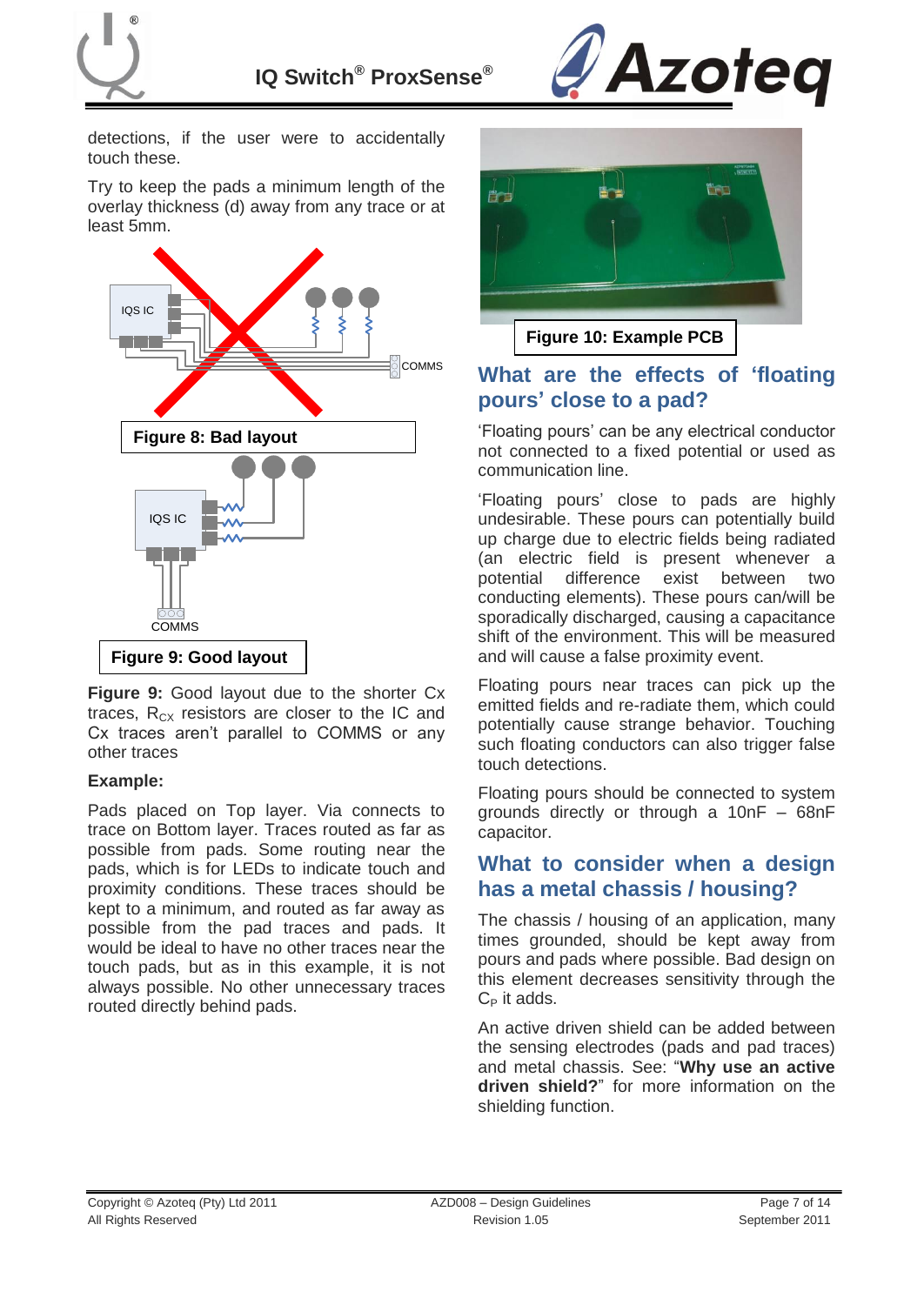



detections, if the user were to accidentally touch these.

Try to keep the pads a minimum length of the overlay thickness (d) away from any trace or at least 5mm.



**Figure 9:** Good layout due to the shorter Cx traces,  $R_{CX}$  resistors are closer to the IC and Cx traces aren"t parallel to COMMS or any other traces

#### **Example:**

Pads placed on Top layer. Via connects to trace on Bottom layer. Traces routed as far as possible from pads. Some routing near the pads, which is for LEDs to indicate touch and proximity conditions. These traces should be kept to a minimum, and routed as far away as possible from the pad traces and pads. It would be ideal to have no other traces near the touch pads, but as in this example, it is not always possible. No other unnecessary traces routed directly behind pads.



## <span id="page-6-0"></span>**What are the effects of "floating pours" close to a pad?**

"Floating pours" can be any electrical conductor not connected to a fixed potential or used as communication line.

"Floating pours" close to pads are highly undesirable. These pours can potentially build up charge due to electric fields being radiated (an electric field is present whenever a potential difference exist between two conducting elements). These pours can/will be sporadically discharged, causing a capacitance shift of the environment. This will be measured and will cause a false proximity event.

Floating pours near traces can pick up the emitted fields and re-radiate them, which could potentially cause strange behavior. Touching such floating conductors can also trigger false touch detections.

Floating pours should be connected to system grounds directly or through a 10nF – 68nF capacitor.

### <span id="page-6-2"></span><span id="page-6-1"></span>**What to consider when a design has a metal chassis / housing?**

The chassis / housing of an application, many times grounded, should be kept away from pours and pads where possible. Bad design on this element decreases sensitivity through the  $C_P$  it adds.

An active driven shield can be added between the sensing electrodes (pads and pad traces) and metal chassis. See: "**[Why use an active](#page-11-4)  [driven shield?](#page-11-4)**" for more information on the shielding function.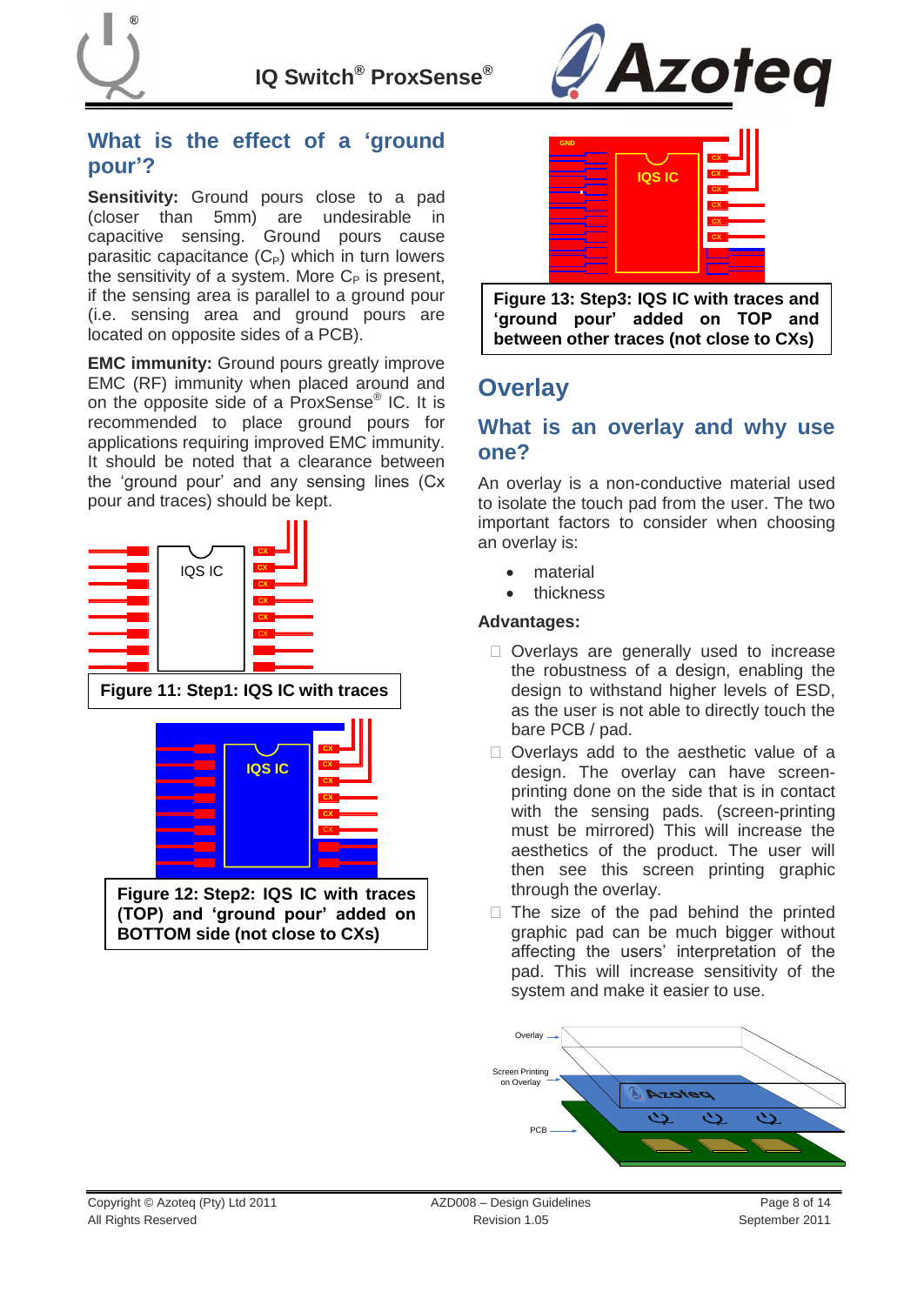



### **What is the effect of a "ground pour"?**

**Sensitivity:** Ground pours close to a pad (closer than 5mm) are undesirable in capacitive sensing. Ground pours cause parasitic capacitance  $(C_P)$  which in turn lowers the sensitivity of a system. More  $C_P$  is present, if the sensing area is parallel to a ground pour (i.e. sensing area and ground pours are located on opposite sides of a PCB).

**EMC immunity:** Ground pours greatly improve EMC (RF) immunity when placed around and on the opposite side of a ProxSense<sup>®</sup> IC. It is recommended to place ground pours for applications requiring improved EMC immunity. It should be noted that a clearance between the "ground pour" and any sensing lines (Cx pour and traces) should be kept.





**Figure 13: Step3: IQS IC with traces and "ground pour" added on TOP and between other traces (not close to CXs)**

## <span id="page-7-0"></span>**Overlay**

### **What is an overlay and why use one?**

An overlay is a non-conductive material used to isolate the touch pad from the user. The two important factors to consider when choosing an overlay is:

- material
- thickness

#### **Advantages:**

- □ Overlays are generally used to increase the robustness of a design, enabling the design to withstand higher levels of ESD, as the user is not able to directly touch the bare PCB / pad.
- □ Overlays add to the aesthetic value of a design. The overlay can have screenprinting done on the side that is in contact with the sensing pads. (screen-printing must be mirrored) This will increase the aesthetics of the product. The user will then see this screen printing graphic through the overlay.
- $\Box$  The size of the pad behind the printed graphic pad can be much bigger without affecting the users" interpretation of the pad. This will increase sensitivity of the system and make it easier to use.

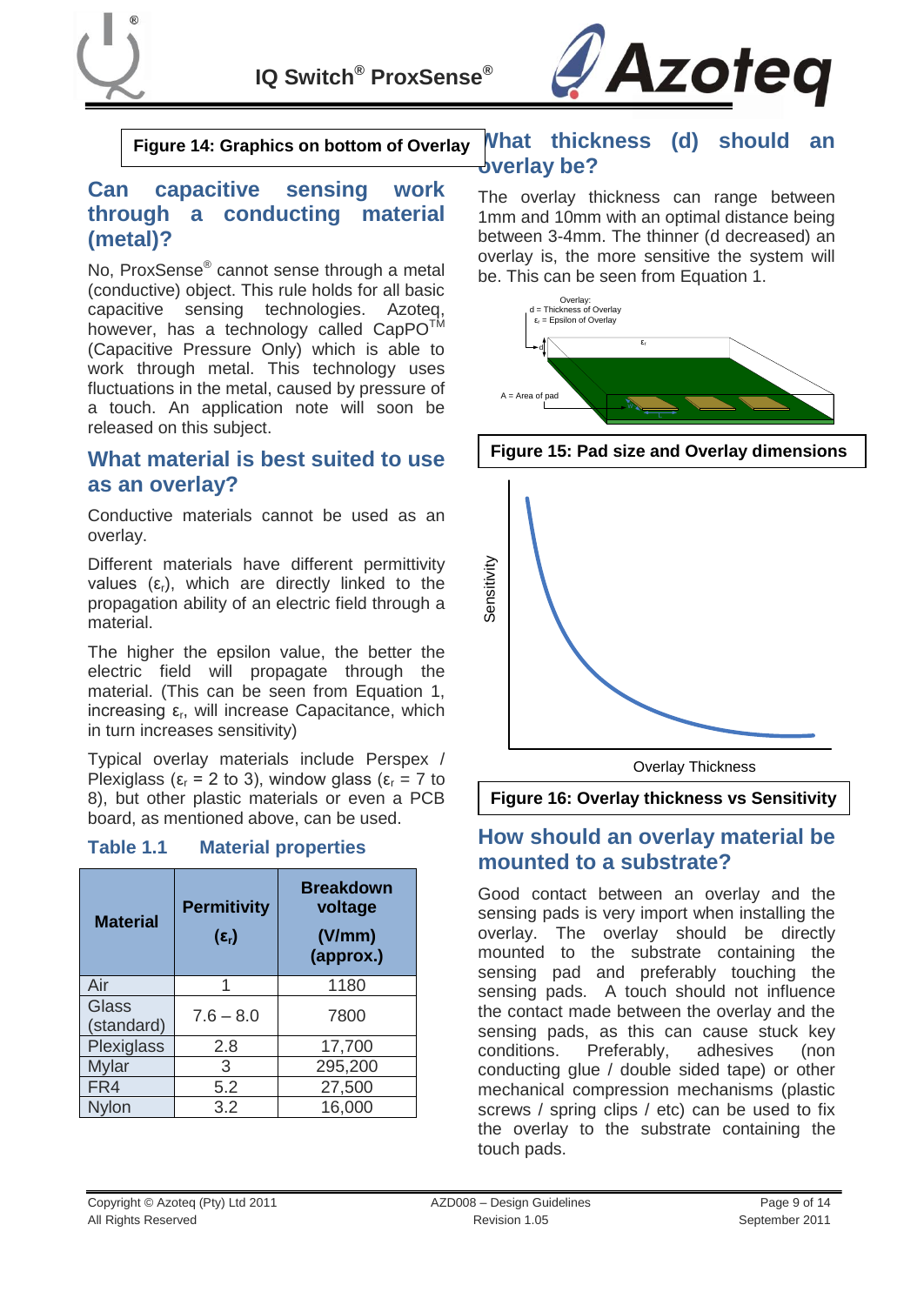



**Figure 14: Graphics on bottom of Overlay**

### <span id="page-8-0"></span>**Can capacitive sensing work through a conducting material (metal)?**

No, ProxSense® cannot sense through a metal (conductive) object. This rule holds for all basic capacitive sensing technologies. Azoteq, however, has a technology called CapPO<sup>TM</sup> (Capacitive Pressure Only) which is able to work through metal. This technology uses fluctuations in the metal, caused by pressure of a touch. An application note will soon be released on this subject.

#### <span id="page-8-1"></span>**What material is best suited to use as an overlay?**

Conductive materials cannot be used as an overlay.

Different materials have different permittivity values  $(\varepsilon_r)$ , which are directly linked to the propagation ability of an electric field through a material.

The higher the epsilon value, the better the electric field will propagate through the material. (This can be seen from Equation 1, increasing  $\varepsilon_r$ , will increase Capacitance, which in turn increases sensitivity)

Typical overlay materials include Perspex / Plexiglass ( $\varepsilon_r$  = 2 to 3), window glass ( $\varepsilon_r$  = 7 to 8), but other plastic materials or even a PCB board, as mentioned above, can be used.

#### <span id="page-8-4"></span>**Table 1.1 Material properties**

| <b>Material</b>     | <b>Permitivity</b><br>$(\epsilon_{\rm r})$ | <b>Breakdown</b><br>voltage<br>(V/mm)<br>(approx.) |
|---------------------|--------------------------------------------|----------------------------------------------------|
| Air                 | 1                                          | 1180                                               |
| Glass<br>(standard) | $7.6 - 8.0$                                | 7800                                               |
| Plexiglass          | 2.8                                        | 17,700                                             |
| <b>Mylar</b>        | 3                                          | 295,200                                            |
| FR4                 | 5.2                                        | 27,500                                             |
| Nylon               | 3.2                                        | 16,000                                             |

#### <span id="page-8-2"></span>**What thickness (d) should an overlay be?**

The overlay thickness can range between 1mm and 10mm with an optimal distance being between 3-4mm. The thinner (d decreased) an overlay is, the more sensitive the system will be. This can be seen from Equation 1.



**Figure 15: Pad size and Overlay dimensions**



**Figure 16: Overlay thickness vs Sensitivity**

### <span id="page-8-3"></span>**How should an overlay material be mounted to a substrate?**

Good contact between an overlay and the sensing pads is very import when installing the overlay. The overlay should be directly mounted to the substrate containing the sensing pad and preferably touching the sensing pads. A touch should not influence the contact made between the overlay and the sensing pads, as this can cause stuck key conditions. Preferably, adhesives (non conducting glue / double sided tape) or other mechanical compression mechanisms (plastic screws / spring clips / etc) can be used to fix the overlay to the substrate containing the touch pads.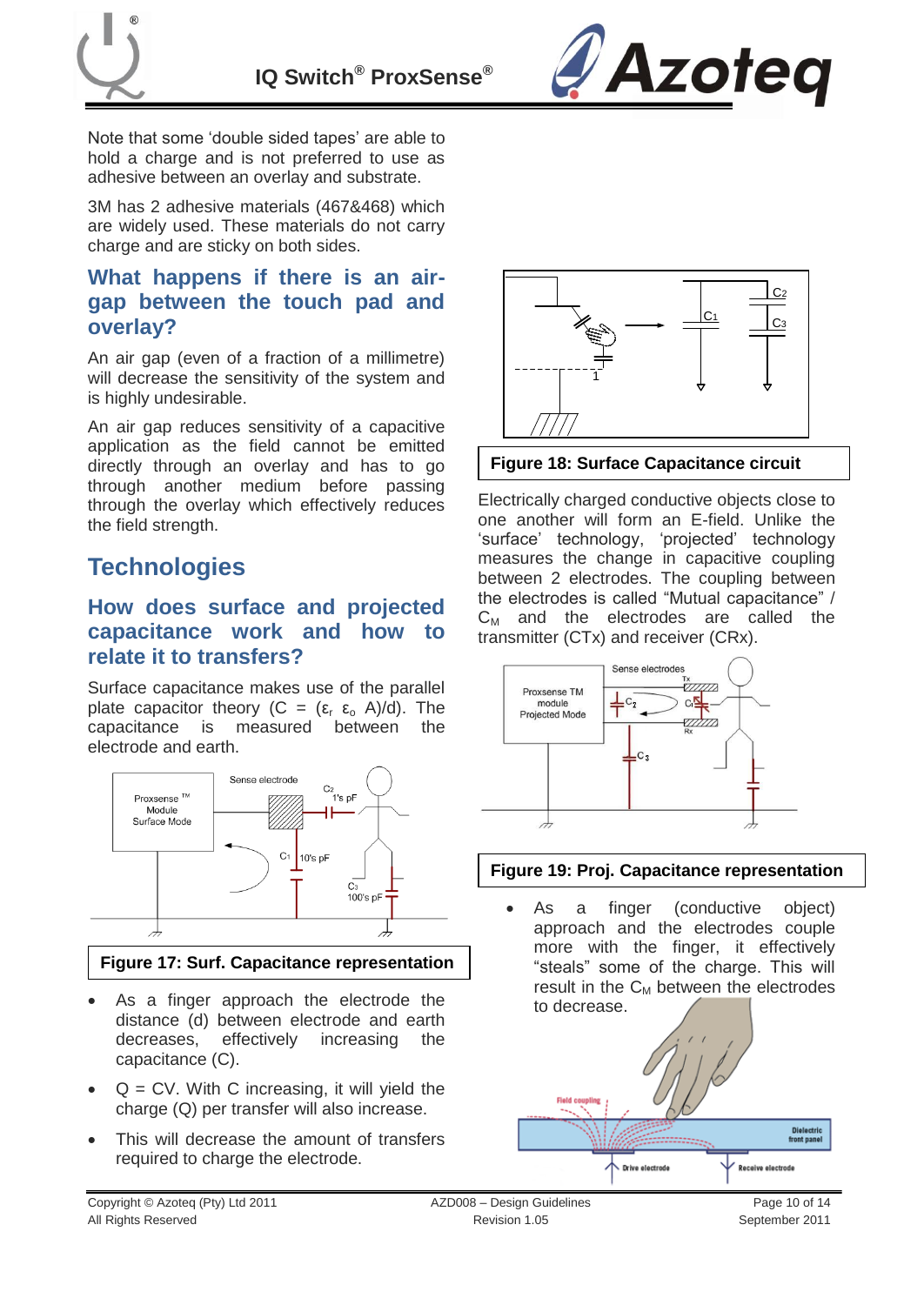

Note that some 'double sided tapes' are able to hold a charge and is not preferred to use as adhesive between an overlay and substrate.

3M has 2 adhesive materials (467&468) which are widely used. These materials do not carry charge and are sticky on both sides.

### <span id="page-9-0"></span>**What happens if there is an airgap between the touch pad and overlay?**

An air gap (even of a fraction of a millimetre) will decrease the sensitivity of the system and is highly undesirable.

An air gap reduces sensitivity of a capacitive application as the field cannot be emitted directly through an overlay and has to go through another medium before passing through the overlay which effectively reduces the field strength.

## <span id="page-9-1"></span>**Technologies**

### <span id="page-9-2"></span>**How does surface and projected capacitance work and how to relate it to transfers?**

Surface capacitance makes use of the parallel plate capacitor theory  $(C = (\varepsilon_r \varepsilon_o A)/d)$ . The capacitance is measured between the capacitance is measured between the electrode and earth.



#### **Figure 17: Surf. Capacitance representation**

- As a finger approach the electrode the distance (d) between electrode and earth decreases, effectively increasing the capacitance (C).
- $Q = CV$ . With C increasing, it will yield the charge (Q) per transfer will also increase.
- This will decrease the amount of transfers required to charge the electrode.



#### **Figure 18: Surface Capacitance circuit**

Electrically charged conductive objects close to one another will form an E-field. Unlike the 'surface' technology, 'projected' technology measures the change in capacitive coupling between 2 electrodes. The coupling between the electrodes is called "Mutual capacitance" /  $C_M$  and the electrodes are called the transmitter (CTx) and receiver (CRx).



#### **Figure 19: Proj. Capacitance representation**

 As a finger (conductive object) approach and the electrodes couple more with the finger, it effectively "steals" some of the charge. This will result in the  $C_M$  between the electrodes to decrease.



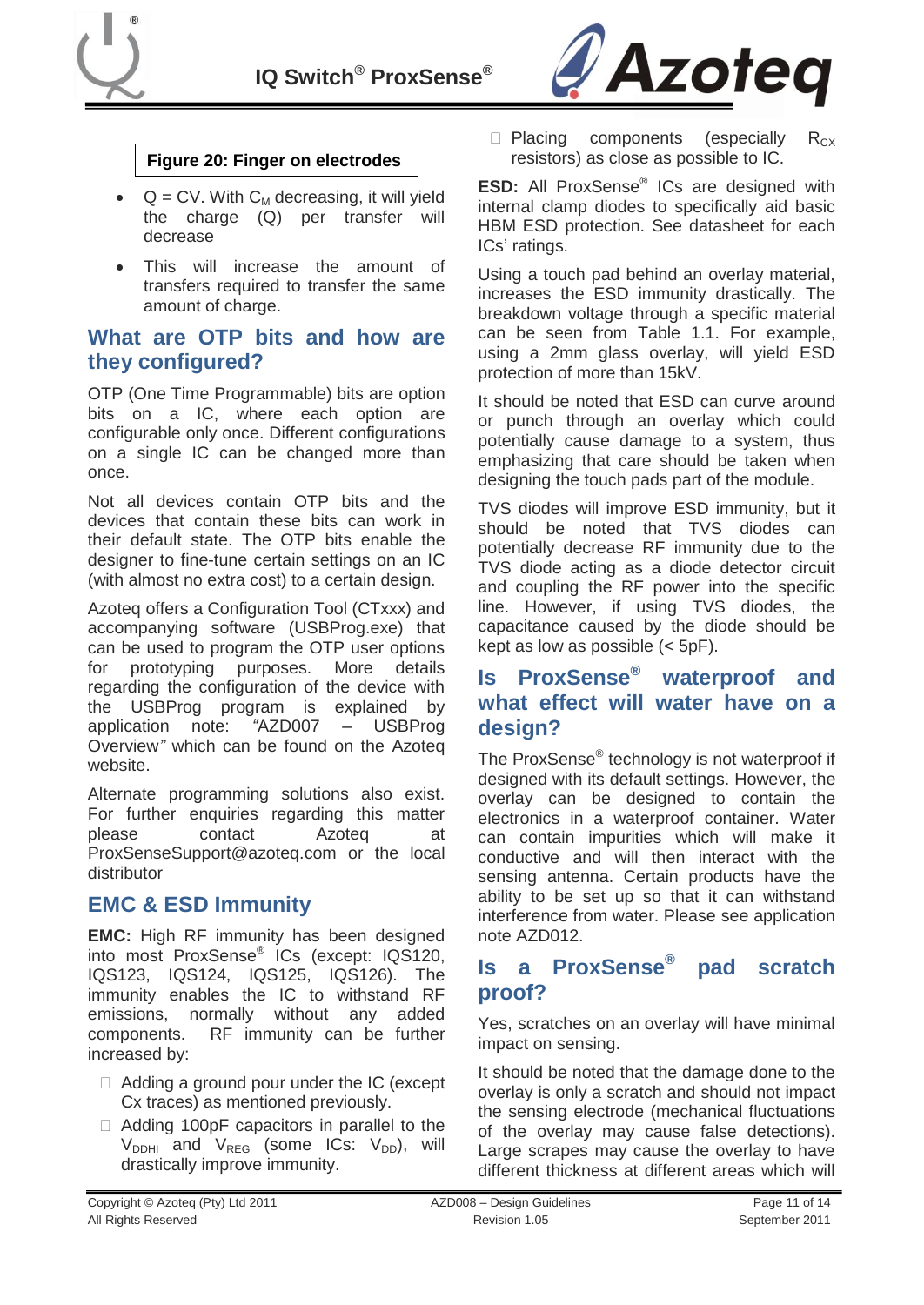



#### **Figure 20: Finger on electrodes**

- $\bullet$  Q = CV. With  $C_M$  decreasing, it will yield the charge (Q) per transfer will decrease
- This will increase the amount of transfers required to transfer the same amount of charge.

#### **What are OTP bits and how are they configured?**

OTP (One Time Programmable) bits are option bits on a IC, where each option are configurable only once. Different configurations on a single IC can be changed more than once.

Not all devices contain OTP bits and the devices that contain these bits can work in their default state. The OTP bits enable the designer to fine-tune certain settings on an IC (with almost no extra cost) to a certain design.

Azoteq offers a Configuration Tool (CTxxx) and accompanying software (USBProg.exe) that can be used to program the OTP user options for prototyping purposes. More details regarding the configuration of the device with the USBProg program is explained by application note: *"*AZD007 – USBProg Overview*"* which can be found on the Azoteq website.

Alternate programming solutions also exist. For further enquiries regarding this matter please contact Azoteq at ProxSenseSupport@azoteq.com or the local distributor

### <span id="page-10-0"></span>**EMC & ESD Immunity**

**EMC:** High RF immunity has been designed into most ProxSense® ICs (except: IQS120, IQS123, IQS124, IQS125, IQS126). The immunity enables the IC to withstand RF emissions, normally without any added components. RF immunity can be further increased by:

- $\Box$  Adding a ground pour under the IC (except Cx traces) as mentioned previously.
- $\Box$  Adding 100pF capacitors in parallel to the  $V_{DDHI}$  and  $V_{REG}$  (some ICs:  $V_{DD}$ ), will drastically improve immunity.

 $\Box$  Placing components (especially R<sub>CX</sub> resistors) as close as possible to IC.

**ESD:** All ProxSense® ICs are designed with internal clamp diodes to specifically aid basic HBM ESD protection. See datasheet for each ICs' ratings.

Using a touch pad behind an overlay material, increases the ESD immunity drastically. The breakdown voltage through a specific material can be seen from [Table 1.1.](#page-8-4) For example, using a 2mm glass overlay, will yield ESD protection of more than 15kV.

It should be noted that ESD can curve around or punch through an overlay which could potentially cause damage to a system, thus emphasizing that care should be taken when designing the touch pads part of the module.

TVS diodes will improve ESD immunity, but it should be noted that TVS diodes can potentially decrease RF immunity due to the TVS diode acting as a diode detector circuit and coupling the RF power into the specific line. However, if using TVS diodes, the capacitance caused by the diode should be kept as low as possible  $(<sub>5pF</sub>)$ .

### <span id="page-10-1"></span>**Is ProxSense® waterproof and what effect will water have on a design?**

The ProxSense® technology is not waterproof if designed with its default settings. However, the overlay can be designed to contain the electronics in a waterproof container. Water can contain impurities which will make it conductive and will then interact with the sensing antenna. Certain products have the ability to be set up so that it can withstand interference from water. Please see application note AZD012.

#### <span id="page-10-2"></span>**Is a ProxSense® pad scratch proof?**

Yes, scratches on an overlay will have minimal impact on sensing.

It should be noted that the damage done to the overlay is only a scratch and should not impact the sensing electrode (mechanical fluctuations of the overlay may cause false detections). Large scrapes may cause the overlay to have different thickness at different areas which will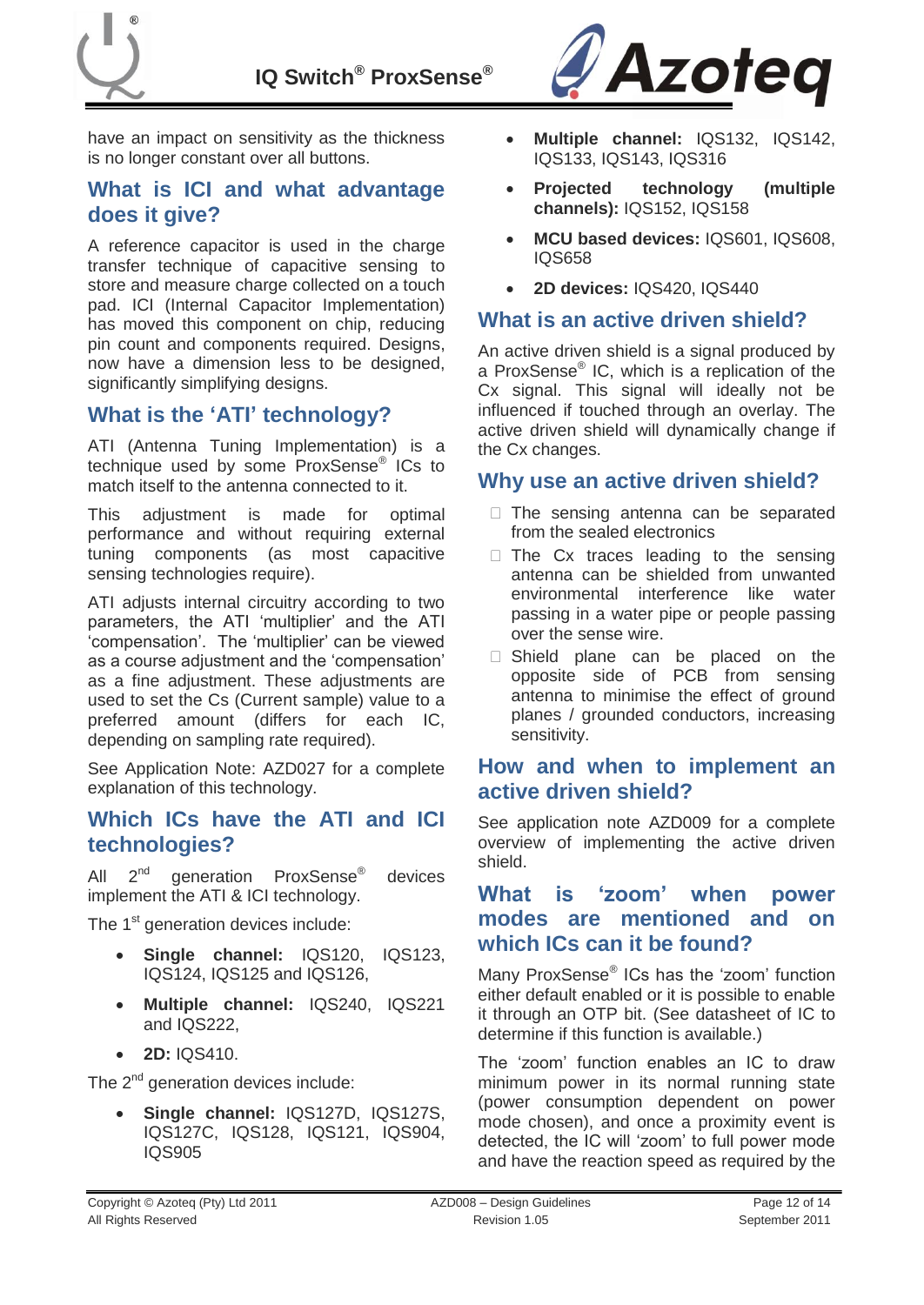have an impact on sensitivity as the thickness is no longer constant over all buttons.

### <span id="page-11-0"></span>**What is ICI and what advantage does it give?**

A reference capacitor is used in the charge transfer technique of capacitive sensing to store and measure charge collected on a touch pad. ICI (Internal Capacitor Implementation) has moved this component on chip, reducing pin count and components required. Designs, now have a dimension less to be designed, significantly simplifying designs.

### <span id="page-11-1"></span>**What is the "ATI" technology?**

ATI (Antenna Tuning Implementation) is a technique used by some ProxSense® ICs to match itself to the antenna connected to it.

This adjustment is made for optimal performance and without requiring external tuning components (as most capacitive sensing technologies require).

ATI adjusts internal circuitry according to two parameters, the ATI "multiplier" and the ATI "compensation". The "multiplier" can be viewed as a course adjustment and the "compensation" as a fine adjustment. These adjustments are used to set the Cs (Current sample) value to a preferred amount (differs for each IC, depending on sampling rate required).

See Application Note: AZD027 for a complete explanation of this technology.

#### <span id="page-11-2"></span>**Which ICs have the ATI and ICI technologies?**

All  $2^{nd}$ generation ProxSense<sup>®</sup> devices implement the ATI & ICI technology.

The 1<sup>st</sup> generation devices include:

- **Single channel:** IQS120, IQS123, IQS124, IQS125 and IQS126,
- **Multiple channel:** IQS240, IQS221 and IQS222,
- **2D:** IQS410.

The  $2^{nd}$  generation devices include:

 **Single channel:** IQS127D, IQS127S, IQS127C, IQS128, IQS121, IQS904, IQS905



- **Multiple channel:** IQS132, IQS142, IQS133, IQS143, IQS316
- **Projected technology (multiple channels):** IQS152, IQS158
- **MCU based devices:** IQS601, IQS608, IQS658
- **2D devices:** IQS420, IQS440

#### <span id="page-11-3"></span>**What is an active driven shield?**

An active driven shield is a signal produced by a ProxSense® IC, which is a replication of the Cx signal. This signal will ideally not be influenced if touched through an overlay. The active driven shield will dynamically change if the Cx changes.

### <span id="page-11-4"></span>**Why use an active driven shield?**

- $\Box$  The sensing antenna can be separated from the sealed electronics
- $\Box$  The Cx traces leading to the sensing antenna can be shielded from unwanted environmental interference like water passing in a water pipe or people passing over the sense wire.
- $\Box$  Shield plane can be placed on the opposite side of PCB from sensing antenna to minimise the effect of ground planes / grounded conductors, increasing sensitivity.

### <span id="page-11-5"></span>**How and when to implement an active driven shield?**

See application note AZD009 for a complete overview of implementing the active driven shield.

### <span id="page-11-6"></span>**What is "zoom" when power modes are mentioned and on which ICs can it be found?**

Many ProxSense<sup>®</sup> ICs has the 'zoom' function either default enabled or it is possible to enable it through an OTP bit. (See datasheet of IC to determine if this function is available.)

The "zoom" function enables an IC to draw minimum power in its normal running state (power consumption dependent on power mode chosen), and once a proximity event is detected, the IC will "zoom" to full power mode and have the reaction speed as required by the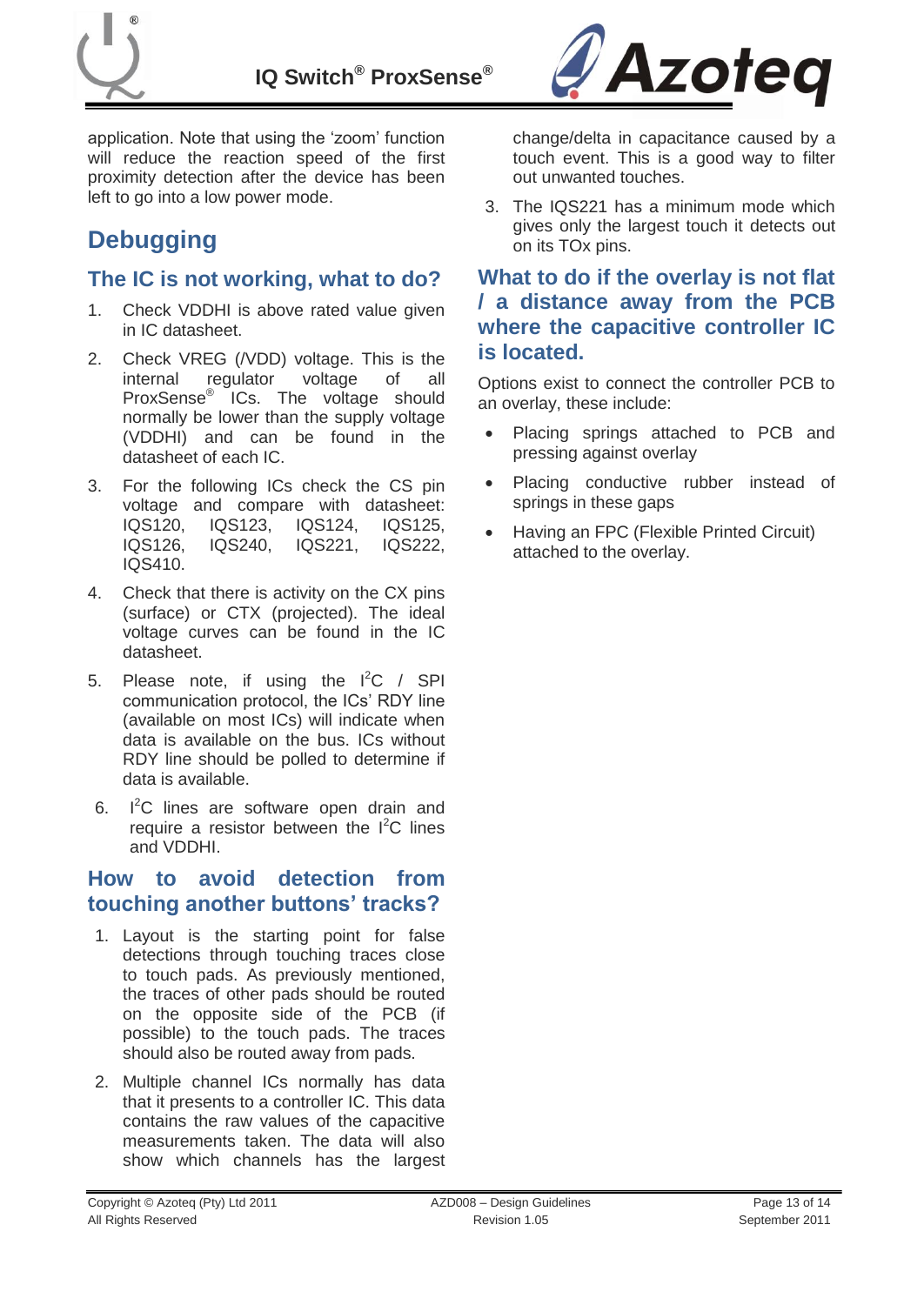



application. Note that using the "zoom" function will reduce the reaction speed of the first proximity detection after the device has been left to go into a low power mode.

# <span id="page-12-0"></span>**Debugging**

### <span id="page-12-1"></span>**The IC is not working, what to do?**

- 1. Check VDDHI is above rated value given in IC datasheet.
- 2. Check VREG (/VDD) voltage. This is the internal regulator voltage of all ProxSense<sup>®</sup> ICs. The voltage should normally be lower than the supply voltage (VDDHI) and can be found in the datasheet of each IC.
- 3. For the following ICs check the CS pin voltage and compare with datasheet: IQS120, IQS123, IQS124, IQS125, IQS126, IQS240, IQS221, IQS222, IQS410.
- 4. Check that there is activity on the CX pins (surface) or CTX (projected). The ideal voltage curves can be found in the IC datasheet.
- 5. Please note, if using the  $I^2C$  / SPI communication protocol, the ICs" RDY line (available on most ICs) will indicate when data is available on the bus. ICs without RDY line should be polled to determine if data is available.
- 6.  $I^2C$  lines are software open drain and require a resistor between the  $I^2C$  lines and VDDHI.

### <span id="page-12-2"></span>**How to avoid detection from touching another buttons" tracks?**

- 1. Layout is the starting point for false detections through touching traces close to touch pads. As previously mentioned, the traces of other pads should be routed on the opposite side of the PCB (if possible) to the touch pads. The traces should also be routed away from pads.
- 2. Multiple channel ICs normally has data that it presents to a controller IC. This data contains the raw values of the capacitive measurements taken. The data will also show which channels has the largest

change/delta in capacitance caused by a touch event. This is a good way to filter out unwanted touches.

3. The IQS221 has a minimum mode which gives only the largest touch it detects out on its TOx pins.

### <span id="page-12-3"></span>**What to do if the overlay is not flat / a distance away from the PCB where the capacitive controller IC is located.**

Options exist to connect the controller PCB to an overlay, these include:

- Placing springs attached to PCB and pressing against overlay
- Placing conductive rubber instead of springs in these gaps
- Having an FPC (Flexible Printed Circuit) attached to the overlay.